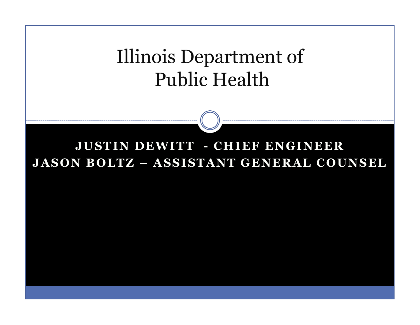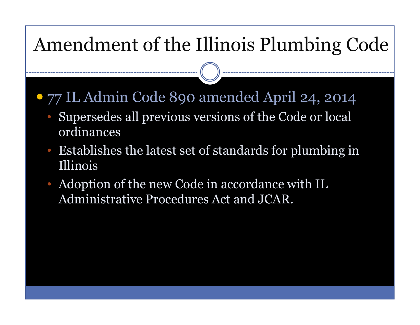## Amendment of the Illinois Plumbing Code

- 77 IL Admin Code 890 amended April 24, 2014
	- Supersedes all previous versions of the Code or local  $\bullet$ ordinances
	- $\bullet$  Establishes the latest set of standards for plumbing in Illinois
	- Adoption of the new Code in accordance with IL Administrative Procedures Act and JCAR.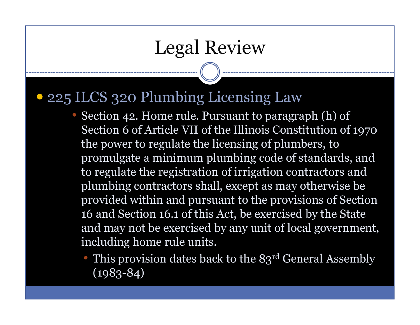## Legal Review

### 225 ILCS 320 Plumbing Licensing Law

- Section 42. Home rule. Pursuant to paragraph (h) of Section 6 of Article VII of the Illinois Constitution of 1970 the power to regulate the licensing of plumbers, to promulgate a minimum plumbing code of standards, and to regulate the registration of irrigation contractors and plumbing contractors shall, except as may otherwise be provided within and pursuant to the provisions of Section 16 and Section 16.1 of this Act, be exercised by the State and may not be exercised by any unit of local government, including home rule units.
	- This provision dates back to the 83<sup>rd</sup> General Assembly (1983-84)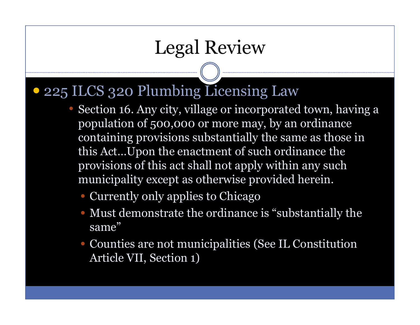## Legal Review

- 225 ILCS 320 Plumbing Licensing Law
	- Section 16. Any city, village or incorporated town, having a population of 500,000 or more may, by an ordinance containing provisions substantially the same as those in this Act…Upon the enactment of such ordinance the provisions of this act shall not apply within any such municipality except as otherwise provided herein.
		- Currently only applies to Chicago
		- Must demonstrate the ordinance is "substantially the same"
		- Counties are not municipalities (See IL Constitution Article VII, Section 1)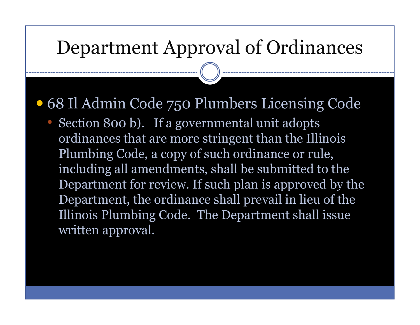### Department Approval of Ordinances

68 Il Admin Code 750 Plumbers Licensing Code

 $\bigcirc$  Section 800 b). If a governmental unit adopts ordinances that are more stringent than the Illinois Plumbing Code, a copy of such ordinance or rule, including all amendments, shall be submitted to the Department for review. If such plan is approved by the Department, the ordinance shall prevail in lieu of the Illinois Plumbing Code. The Department shall issue written approval.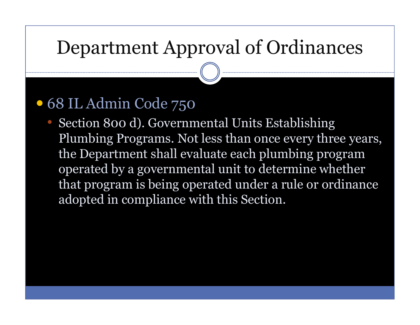## Department Approval of Ordinances

## 68 IL Admin Code 750

 Section 800 d). Governmental Units Establishing •Plumbing Programs. Not less than once every three years, the Department shall evaluate each plumbing programoperated by a governmental unit to determine whether that program is being operated under a rule or ordinance adopted in compliance with this Section.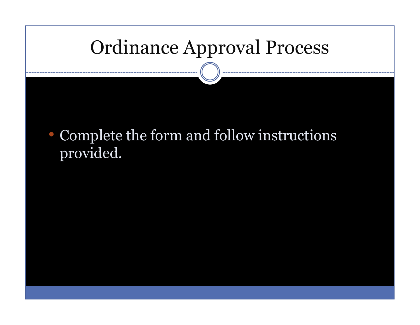# Ordinance Approval Process

• Complete the form and follow instructions provided.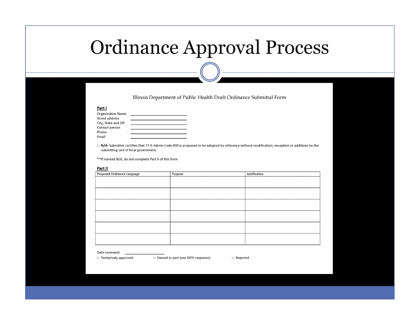### Ordinance Approval Process

Illinois Department of Public Health Draft Ordinance Submittal Form

### Part I

| <b>Organization Name</b> |  |
|--------------------------|--|
| <b>Street address</b>    |  |
| City, State and ZIP      |  |
| Contact person           |  |
| Phone                    |  |
| Email                    |  |

□ N/A- Submitter certifies that 77 IL Admin Code 890 is proposed to be adopted by reference without modification, exception or additions by the submitting unit of local government.

\*\* If marked N/A, do not complete Part II of this form

### Part II

| Proposed Ordinance Language | Purpose | Justification |
|-----------------------------|---------|---------------|
|                             |         |               |
|                             |         |               |
|                             |         |               |
|                             |         |               |
|                             |         |               |
|                             |         |               |
|                             |         |               |
|                             |         |               |
|                             |         |               |
|                             |         |               |
|                             |         |               |
|                             |         |               |

#### Date reviewed:

□ Tentatively approved

D Denied in part (see IDPH response)

Rejected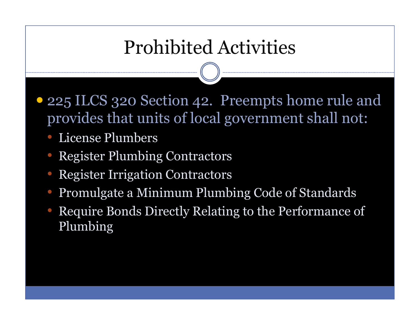## Prohibited Activities

- 225 ILCS 320 Section 42. Preempts home rule and provides that units of local government shall not:
	- License Plumbers
	- •Register Plumbing Contractors
	- •Register Irrigation Contractors
	- $\bullet$ Promulgate a Minimum Plumbing Code of Standards
	- • Require Bonds Directly Relating to the Performance of Plumbing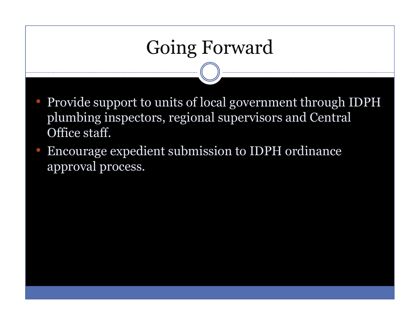# Going Forward

- Provide support to units of local government through IDPH plumbing inspectors, regional supervisors and Central Office staff.
- $\bigcirc$  Encourage expedient submission to IDPH ordinance approval process.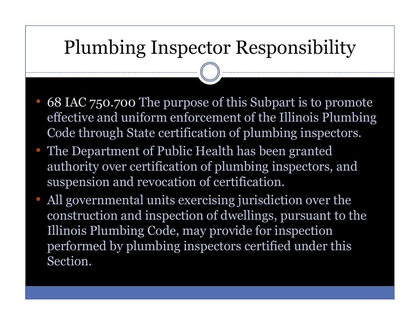## Plumbing Inspector Responsibility

- 68 IAC 750.700 The purpose of this Subpart is to promote effective and uniform enforcement of the Illinois Plumbing Code through State certification of plumbing inspectors.
- The Department of Public Health has been granted authority over certification of plumbing inspectors, and suspension and revocation of certification.
- All governmental units exercising jurisdiction over the construction and inspection of dwellings, pursuant to the Illinois Plumbing Code, may provide for inspection performed by plumbing inspectors certified under this Section.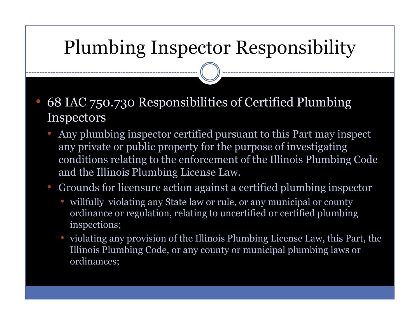# Plumbing Inspector Responsibility

- • 68 IAC 750.730 Responsibilities of Certified Plumbing Inspectors
	- $\bullet$  Any plumbing inspector certified pursuant to this Part may inspect any private or public property for the purpose of investigating conditions relating to the enforcement of the Illinois Plumbing Code and the Illinois Plumbing License Law.
	- $\bigcirc$  Grounds for licensure action against a certified plumbing inspector
		- willfully violating any State law or rule, or any municipal or county<br>ordinance or regulation, relating to uncertified or certified plumbing ordinance or regulation, relating to uncertified or certified plumbing inspections;
		- violating any provision of the Illinois Plumbing License Law, this Part, the Illinois Plumbing Code, or any county or municipal plumbing laws or ordinances;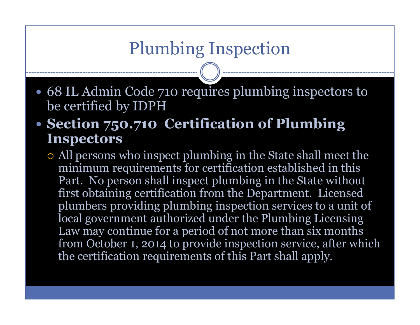### Plumbing Inspection

- 68 IL Admin Code 710 requires plumbing inspectors to be certified by IDPH
- Section 750.710 Certification of Plumbing **Inspectors** 
	- All persons who inspect plumbing in the State shall meet the minimum requirements for certification established in this Part. No person shall inspect plumbing in the State without first obtaining certification from the Department. Licensed plumbers providing plumbing inspection services to a unit of local government authorized under the Plumbing Licensing Law may continue for a period of not more than six months from October 1, 2014 to provide inspection service, after which the certification requirements of this Part shall apply.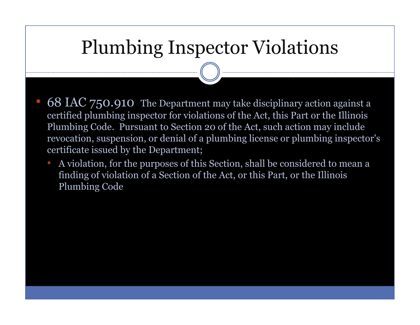## Plumbing Inspector Violations

- • 68 IAC 750.910 The Department may take disciplinary action against a certified plumbing inspector for violations of the Act, this Part or the Illinois Plumbing Code. Pursuant to Section 20 of the Act, such action may include revocation, suspension, or denial of a plumbing license or plumbing inspector's certificate issued by the Department;
	- A violation, for the purposes of this Section, shall be considered to mean a finding of violation of a Section of the Act, or this Part, or the Illinois Plumbing Code